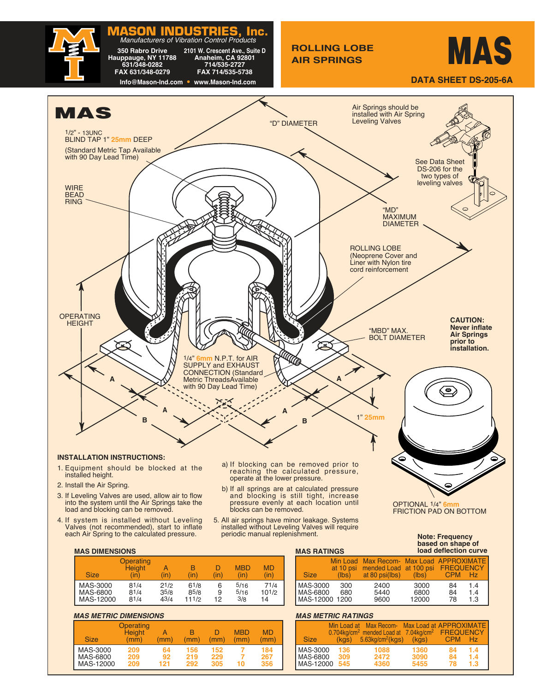

| <b>Size</b> | Operating<br><b>Height</b><br>(in) | (in) | R<br>(in) | D<br>(in) | <b>MBD</b><br>(in) | <b>MD</b><br>(in) |
|-------------|------------------------------------|------|-----------|-----------|--------------------|-------------------|
| MAS-3000    | 81/4                               | 21/2 | 61/8      | 6         | 5/16               | 71/4              |
| MAS-6800    | 81/4                               | 35/8 | 85/8      | 9         | 5/16               | $10^{1/2}$        |
| MAS-12000   | 81/4                               | 43/4 | 111/2     | 12        | 3/8                | 14                |

#### **MAS METRIC DIMENSIONS**

| $m$ au $m$ linu binilinu unu      |                                    |                 |                   |                   |                    |                   |
|-----------------------------------|------------------------------------|-----------------|-------------------|-------------------|--------------------|-------------------|
| <b>Size</b>                       | Operating<br><b>Height</b><br>(mm) | (mm)            | (mm)              | (mm)              | <b>MBD</b><br>(mm) | MD<br>mm)         |
| MAS-3000<br>MAS-6800<br>MAS-12000 | 209<br>209<br>209                  | 64<br>92<br>121 | 156<br>219<br>292 | 152<br>229<br>305 | 10                 | 184<br>267<br>356 |

### **MAS METRIC RATINGS**

MAS-12000 1200

|                      | Min Load at | Max Recom- Max Load at APPROXIMATE                                                                       |              |                         |            |
|----------------------|-------------|----------------------------------------------------------------------------------------------------------|--------------|-------------------------|------------|
| <b>Size</b>          |             | $0.704$ kg/cm <sup>2</sup> mended Load at 7.04kg/cm <sup>2</sup><br>$(kgs)$ 5.63kg/cm <sup>2</sup> (kgs) | (kgs)        | FREQUENCY<br><b>CPM</b> | Hz         |
| MAS-3000<br>MAS-6800 | 136<br>309  | 1088<br>2472                                                                                             | 1360<br>3090 | 84<br>84                | 1.4<br>1.4 |
| MAS-12000            | 545         | 4360                                                                                                     | 5455         | 78                      | 1.3        |

MAS-3000 300 2400 3000 84 1.4 MAS-6800 680 5440 6800 84 1.4